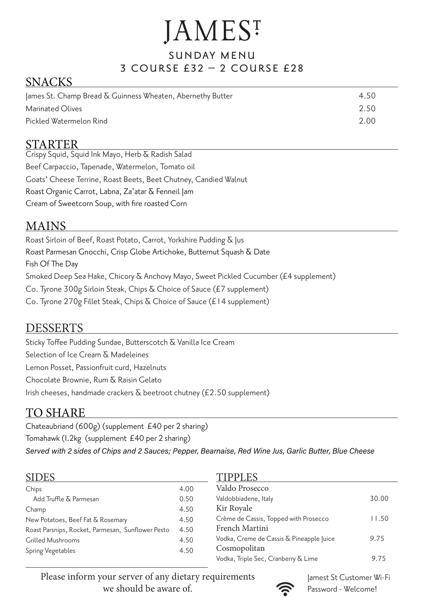# **JAMES**<sup>T</sup>

#### SUNDAY MENU 3 course £32 – 2 course £28

## SNACKS

| James St. Champ Bread $\overline{\infty}$ Guinness Wheaten, Abernethy Butter | 4.50 |
|------------------------------------------------------------------------------|------|
| Marinated Olives                                                             | 2.50 |
| Pickled Watermelon Rind                                                      | 2.00 |

### STARTER

Crispy Squid, Squid Ink Mayo, Herb & Radish Salad Beef Carpaccio, Tapenade, Watermelon, Tomato oil Goats' Cheese Terrine, Roast Beets, Beet Chutney, Candied Walnut Roast Organic Carrot, Labna, Za'atar & Fenneil Jam Cream of Sweetcorn Soup, with fire roasted Corn

## MAINS

Roast Sirloin of Beef, Roast Potato, Carrot, Yorkshire Pudding & Jus Roast Parmesan Gnocchi, Crisp Globe Artichoke, Butternut Squash & Date Fish Of The Day Smoked Deep Sea Hake, Chicory & Anchovy Mayo, Sweet Pickled Cucumber (£4 supplement) Co. Tyrone 300g Sirloin Steak, Chips & Choice of Sauce (£7 supplement) Co. Tyrone 270g Fillet Steak, Chips & Choice of Sauce (£14 supplement)

### DESSERTS

Sticky Toffee Pudding Sundae, Butterscotch & Vanilla Ice Cream Selection of Ice Cream & Madeleines Lemon Posset, Passionfruit curd, Hazelnuts Chocolate Brownie, Rum & Raisin Gelato Irish cheeses, handmade crackers  $\overline{\alpha}$  beetroot chutney (£2.50 supplement)

## TO SHARE

Chateaubriand (600g) (supplement £40 per 2 sharing) Tomahawk (1.2kg (supplement £40 per 2 sharing)

Served with 2 sides of Chips and 2 Sauces; Pepper, Bearnaise, Red Wine Jus, Garlic Butter, Blue Cheese

#### SIDES

| Chips                                             | 4.00 |
|---------------------------------------------------|------|
| Add Truffle & Parmesan                            | 0.50 |
| Champ                                             | 4.50 |
| New Potatoes, Beef Fat & Rosemary                 | 4.50 |
| Roast Parsnips, Rocket, Parmesan, Sunflower Pesto | 4.50 |
| Grilled Mushrooms                                 | 4.50 |
| Spring Vegetables                                 | 4.50 |

#### TIPPLES

| Valdo Prosecco                           |       |
|------------------------------------------|-------|
| Valdobbiadene, Italy                     | 30.00 |
| Kir Royale                               |       |
| Crème de Cassis, Topped with Prosecco    | 11.50 |
| French Martini                           |       |
| Vodka, Creme de Cassis & Pineapple Juice | 9.75  |
| Cosmopolitan                             |       |
| Vodka, Triple Sec, Cranberry & Lime      | 9.75  |

Please inform your server of any dietary requirements we should be aware of.



 Jamest St Customer Wi-Fi Password - Welcome!